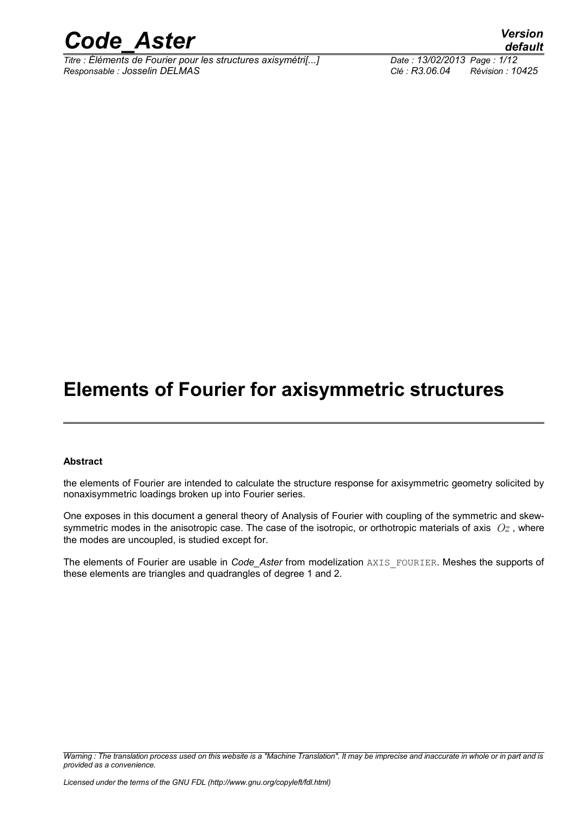

*Titre : Éléments de Fourier pour les structures axisymétri[...] Date : 13/02/2013 Page : 1/12 Responsable : Josselin DELMAS Clé : R3.06.04 Révision : 10425*

### **Elements of Fourier for axisymmetric structures**

#### **Abstract**

the elements of Fourier are intended to calculate the structure response for axisymmetric geometry solicited by nonaxisymmetric loadings broken up into Fourier series.

One exposes in this document a general theory of Analysis of Fourier with coupling of the symmetric and skewsymmetric modes in the anisotropic case. The case of the isotropic, or orthotropic materials of axis *Oz* , where the modes are uncoupled, is studied except for.

The elements of Fourier are usable in *Code* Aster from modelization AXIS FOURIER. Meshes the supports of these elements are triangles and quadrangles of degree 1 and 2.

*Warning : The translation process used on this website is a "Machine Translation". It may be imprecise and inaccurate in whole or in part and is provided as a convenience.*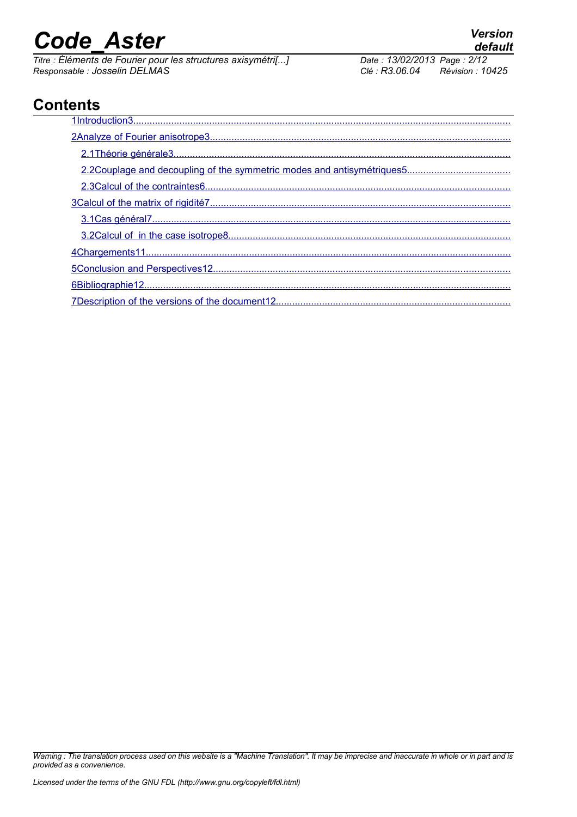*Titre : Éléments de Fourier pour les structures axisymétri[...] Date : 13/02/2014 Date : 13/02/2013 Page : 13/02/2013 Responsable : Josselin DELMAS Clé : R3.06.04 Révision : 10425*

### **Contents**

*Warning : The translation process used on this website is a "Machine Translation". It may be imprecise and inaccurate in whole or in part and is provided as a convenience.*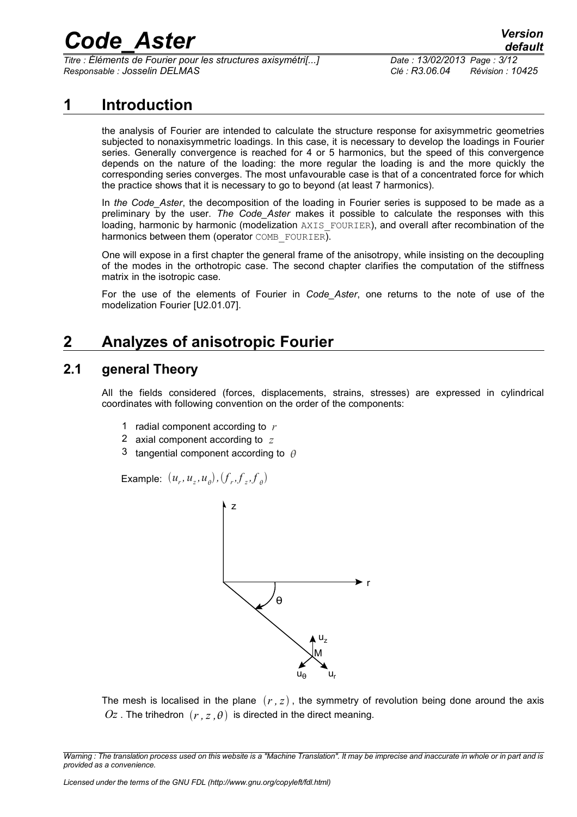*Titre : Éléments de Fourier pour les structures axisymétri[...] Date : 13/02/2013 Page : 3/12 Responsable : Josselin DELMAS Clé : R3.06.04 Révision : 10425*

#### **1 Introduction**

<span id="page-2-0"></span>the analysis of Fourier are intended to calculate the structure response for axisymmetric geometries subjected to nonaxisymmetric loadings. In this case, it is necessary to develop the loadings in Fourier series. Generally convergence is reached for 4 or 5 harmonics, but the speed of this convergence depends on the nature of the loading: the more regular the loading is and the more quickly the corresponding series converges. The most unfavourable case is that of a concentrated force for which the practice shows that it is necessary to go to beyond (at least 7 harmonics).

In *the Code\_Aster*, the decomposition of the loading in Fourier series is supposed to be made as a preliminary by the user. *The Code\_Aster* makes it possible to calculate the responses with this loading, harmonic by harmonic (modelization AXIS FOURIER), and overall after recombination of the harmonics between them (operator COMB FOURIER).

One will expose in a first chapter the general frame of the anisotropy, while insisting on the decoupling of the modes in the orthotropic case. The second chapter clarifies the computation of the stiffness matrix in the isotropic case.

For the use of the elements of Fourier in *Code\_Aster*, one returns to the note of use of the modelization Fourier [U2.01.07].

### <span id="page-2-2"></span>**2 Analyzes of anisotropic Fourier**

#### **2.1 general Theory**

<span id="page-2-1"></span>All the fields considered (forces, displacements, strains, stresses) are expressed in cylindrical coordinates with following convention on the order of the components:

- 1 radial component according to *r*
- 2 axial component according to *z*
- 3 tangential component according to  $\theta$

Example:  $(u_r, u_z, u_\theta), (f_r, f_z, f_\theta)$ 



The mesh is localised in the plane  $(r, z)$ , the symmetry of revolution being done around the axis  $Oz$ . The trihedron  $(r, z, \theta)$  is directed in the direct meaning.

*Warning : The translation process used on this website is a "Machine Translation". It may be imprecise and inaccurate in whole or in part and is provided as a convenience.*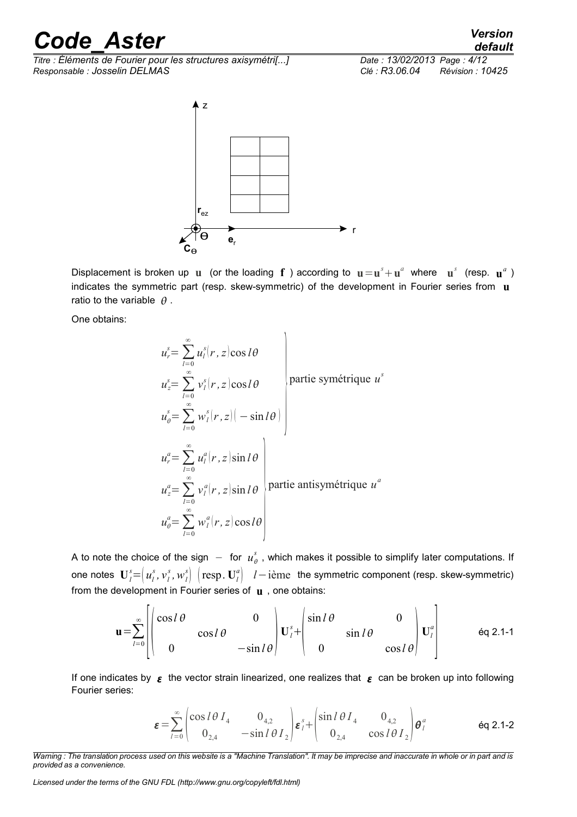*Titre : Éléments de Fourier pour les structures axisymétri[...] Date : 13/02/2013 Page : 4/12 Responsable : Josselin DELMAS Clé : R3.06.04 Révision : 10425*



Displacement is broken up **u** (or the loading **f** ) according to  $\mathbf{u} = \mathbf{u}^s + \mathbf{u}^a$  where  $\mathbf{u}^s$  (resp.  $\mathbf{u}^a$ ) indicates the symmetric part (resp. skew-symmetric) of the development in Fourier series from **u** ratio to the variable  $\theta$ .

One obtains:

$$
u_r^s = \sum_{l=0}^{\infty} u_l^s(r, z) \cos l\theta
$$
  
\n
$$
u_\theta^s = \sum_{l=0}^{\infty} v_l^s(r, z) \cos l\theta
$$
  
\n
$$
u_\theta^s = \sum_{l=0}^{\infty} w_l^s(r, z) \left(-\sin l\theta\right)
$$
  
\n
$$
u_r^a = \sum_{l=0}^{\infty} u_l^a(r, z) \sin l\theta
$$
  
\n
$$
u_z^a = \sum_{l=0}^{\infty} v_l^a(r, z) \sin l\theta
$$
  
\npartie antisymétrique  $u^a$   
\n
$$
u_\theta^a = \sum_{l=0}^{\infty} w_l^a(r, z) \cos l\theta
$$

A to note the choice of the sign  $-$  for  $u_\theta^s$  , which makes it possible to simplify later computations. If one notes  $\mathbf{U}_l^s\!\!=\!\!\left(u_l^s, v_l^s, w_l^s\right)\,\left(\text{resp. } \mathbf{U}_l^a\right)\,$   $l\!-\!\text{i\`eme\,}$  the symmetric component (resp. skew-symmetric) from the development in Fourier series of **u** , one obtains:

$$
\mathbf{u} = \sum_{l=0}^{\infty} \begin{bmatrix} \cos l\theta & 0 \\ 0 & \cos l\theta & -\sin l\theta \end{bmatrix} \mathbf{U}_{l}^{s} + \begin{bmatrix} \sin l\theta & 0 \\ 0 & \sin l\theta & 0 \\ 0 & \cos l\theta & 0 \end{bmatrix} \mathbf{U}_{l}^{a} \qquad \text{Eq 2.1-1}
$$

If one indicates by  $\epsilon$  the vector strain linearized, one realizes that  $\epsilon$  can be broken up into following Fourier series:

$$
\varepsilon = \sum_{l=0}^{\infty} \begin{pmatrix} \cos l \theta I_4 & 0_{4,2} \\ 0_{2,4} & -\sin l \theta I_2 \end{pmatrix} \varepsilon_l^s + \begin{pmatrix} \sin l \theta I_4 & 0_{4,2} \\ 0_{2,4} & \cos l \theta I_2 \end{pmatrix} \theta_l^a
$$
 eq 2.1-2

*Warning : The translation process used on this website is a "Machine Translation". It may be imprecise and inaccurate in whole or in part and is provided as a convenience.*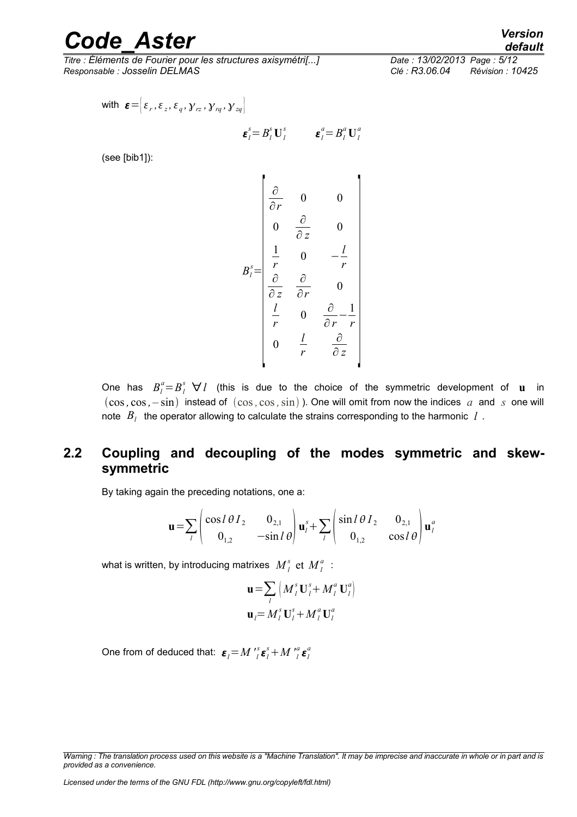*Titre : Éléments de Fourier pour les structures axisymétri[...] Date : 13/02/2013 Page : 5/12 Responsable : Josselin DELMAS Clé : R3.06.04 Révision : 10425*

with 
$$
\boldsymbol{\varepsilon} = \begin{bmatrix} \varepsilon_r, \varepsilon_z, \varepsilon_q, \gamma_{rz}, \gamma_{rq}, \gamma_{zq} \end{bmatrix}
$$
  

$$
\boldsymbol{\varepsilon}_l^s = B_l^s \mathbf{U}_l^s \qquad \boldsymbol{\varepsilon}_l^a = B_l^a \mathbf{U}_l^a
$$

(see [bib1]):

$$
B_i^s = \begin{bmatrix} \frac{\partial}{\partial r} & 0 & 0 \\ 0 & \frac{\partial}{\partial z} & 0 \\ \frac{1}{r} & 0 & -\frac{l}{r} \\ \frac{\partial}{\partial z} & \frac{\partial}{\partial r} & 0 \\ \frac{l}{r} & 0 & \frac{\partial}{\partial r} - \frac{1}{r} \\ 0 & \frac{l}{r} & \frac{\partial}{\partial z} \end{bmatrix}
$$

One has  $B_l^a = B_l^s$   $\forall l$  (this is due to the choice of the symmetric development of **u** in  $(\cos, \cos, -\sin)$  instead of  $(\cos, \cos, \sin)$ ). One will omit from now the indices *a* and *s* one will note *B<sup>l</sup>* the operator allowing to calculate the strains corresponding to the harmonic *l* .

#### <span id="page-4-0"></span>**2.2 Coupling and decoupling of the modes symmetric and skewsymmetric**

By taking again the preceding notations, one a:

$$
\mathbf{u} = \sum_{l} \begin{pmatrix} \cos l & \theta & I_2 & 0_{2,1} \\ 0_{1,2} & -\sin l & \theta \end{pmatrix} \mathbf{u}_{l}^{s} + \sum_{l} \begin{pmatrix} \sin l & \theta & I_2 & 0_{2,1} \\ 0_{1,2} & \cos l & \theta \end{pmatrix} \mathbf{u}_{l}^{a}
$$

what is written, by introducing matrixes  $\left. M\right\rangle _{l}^{s}$  et  $\left. M\right\rangle _{l}^{a}$  :

$$
\mathbf{u} = \sum_{l} \left( M_{l}^{s} \mathbf{U}_{l}^{s} + M_{l}^{a} \mathbf{U}_{l}^{a} \right)
$$

$$
\mathbf{u}_{l} = M_{l}^{s} \mathbf{U}_{l}^{s} + M_{l}^{a} \mathbf{U}_{l}^{a}
$$

One from of deduced that:  $\boldsymbol{\varepsilon}_{l}$   $\!=$   $\! M$   $\! '_{l}$  $\sum_{l}^{s}$  $\boldsymbol{\varepsilon}_{l}^{s}$  + *M*  $\sum_{l}^{s}$  $\sum_{l}^{a}$ **E**<sup>*a*</sup>

*Licensed under the terms of the GNU FDL (http://www.gnu.org/copyleft/fdl.html)*

*default*

*Warning : The translation process used on this website is a "Machine Translation". It may be imprecise and inaccurate in whole or in part and is provided as a convenience.*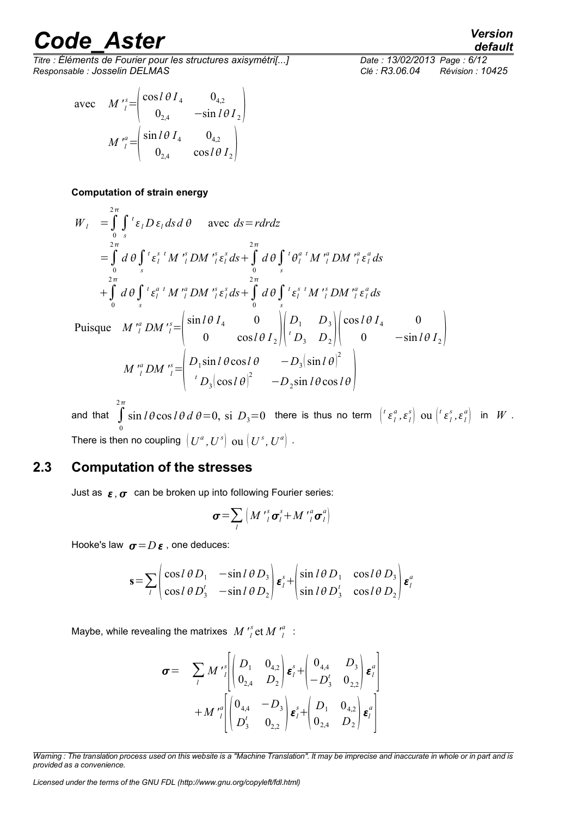*Titre : Éléments de Fourier pour les structures axisymétri[...] Date : 13/02/2013 Page : 6/12 Responsable : Josselin DELMAS Clé : R3.06.04 Révision : 10425*

$$
\text{avec} \quad M'_{l}^{s} = \begin{pmatrix} \cos l \theta I_4 & 0_{4,2} \\ 0_{2,4} & -\sin l \theta I_2 \end{pmatrix}
$$

$$
M'_{l}^{a} = \begin{pmatrix} \sin l \theta I_4 & 0_{4,2} \\ 0_{2,4} & \cos l \theta I_2 \end{pmatrix}
$$

#### **Computation of strain energy**

$$
W_{I} = \int_{0}^{2\pi} \int_{s}^{t} \varepsilon_{I} D \varepsilon_{I} ds d\theta \quad \text{avec } ds = r dr dz
$$
  
\n
$$
= \int_{0}^{2\pi} d\theta \int_{s}^{t} \varepsilon_{I}^{s} M \int_{I}^{s} D M \int_{I}^{s} \varepsilon_{I}^{s} ds + \int_{0}^{2\pi} d\theta \int_{s}^{t} \theta_{I}^{a} M \int_{I}^{a} D M \int_{I}^{a} \varepsilon_{I}^{a} ds
$$
  
\n
$$
+ \int_{0}^{2\pi} d\theta \int_{s}^{t} \varepsilon_{I}^{a} M \int_{I}^{a} D M \int_{I}^{s} \varepsilon_{I}^{s} ds + \int_{0}^{2\pi} d\theta \int_{s}^{t} \varepsilon_{I}^{s} M \int_{I}^{s} D M \int_{I}^{a} \varepsilon_{I}^{a} ds
$$
  
\nPuisque  $M \int_{I}^{a} D M \int_{I}^{s} = \begin{pmatrix} \sin l\theta I_{4} & 0 \\ 0 & \cos l\theta I_{2} \end{pmatrix} \begin{pmatrix} D_{1} & D_{3} \\ D_{3} & D_{2} \end{pmatrix} \begin{pmatrix} \cos l\theta I_{4} & 0 \\ 0 & -\sin l\theta I_{2} \end{pmatrix}$   
\n
$$
M \int_{I}^{a} D M \int_{I}^{s} = \begin{pmatrix} D_{1} \sin l\theta \cos l\theta & -D_{3} (\sin l\theta)^{2} \\ 0 & D_{2} \sin l\theta \cos l\theta \end{pmatrix}
$$

and that  $\int$  $\boldsymbol{0}$  $2\pi$  $\sin l\theta \cos l\theta \, d\theta = 0, \text{ si } D_3 = 0 \quad \text{there is thus no term } \left[ {}^t\mathop{\varepsilon}_l^a , \mathop{\varepsilon}_l^s \right] \text{ ou } \left[ {}^t\mathop{\varepsilon}_l^s , \mathop{\varepsilon}_l^a \right] \text{ in } \; W \; .$ There is then no coupling  $\left(U^a,U^s\right)$  ou  $\left(U^s,U^a\right)$  .

#### **2.3 Computation of the stresses**

<span id="page-5-0"></span>Just as  $\epsilon$ ,  $\sigma$  can be broken up into following Fourier series:

$$
\boldsymbol{\sigma} = \sum_{l} \left( M \, \prime_{l}^{s} \, \boldsymbol{\sigma}_{l}^{s} + M \, \prime_{l}^{a} \, \boldsymbol{\sigma}_{l}^{a} \right)
$$

Hooke's law  $\sigma = D \varepsilon$ , one deduces:

$$
\mathbf{s} = \sum_{l} \begin{pmatrix} \cos l & \theta D_1 & -\sin l & \theta D_3 \\ \cos l & \theta D_3' & -\sin l & \theta D_2 \end{pmatrix} \mathbf{\varepsilon}_l^s + \begin{pmatrix} \sin l & \theta D_1 & \cos l & \theta D_3 \\ \sin l & \theta D_3' & \cos l & \theta D_2 \end{pmatrix} \mathbf{\varepsilon}_l^a
$$

Maybe, while revealing the matrixes  $|M'|$  $\int_l^s$ et *M*  $\int_l^a$ *a* :

$$
\sigma = \sum_{l} M' {s \brack l} \begin{pmatrix} D_1 & 0_{4,2} \\ 0_{2,4} & D_2 \end{pmatrix} \mathbf{\varepsilon}_l^s + \begin{pmatrix} 0_{4,4} & D_3 \\ -D_3' & 0_{2,2} \end{pmatrix} \mathbf{\varepsilon}_l^a \\ + M' {s \brack l} \begin{pmatrix} 0_{4,4} & -D_3 \\ D_3' & 0_{2,2} \end{pmatrix} \mathbf{\varepsilon}_l^s + \begin{pmatrix} D_1 & 0_{4,2} \\ 0_{2,4} & D_2 \end{pmatrix} \mathbf{\varepsilon}_l^a \end{pmatrix}
$$

*Warning : The translation process used on this website is a "Machine Translation". It may be imprecise and inaccurate in whole or in part and is provided as a convenience.*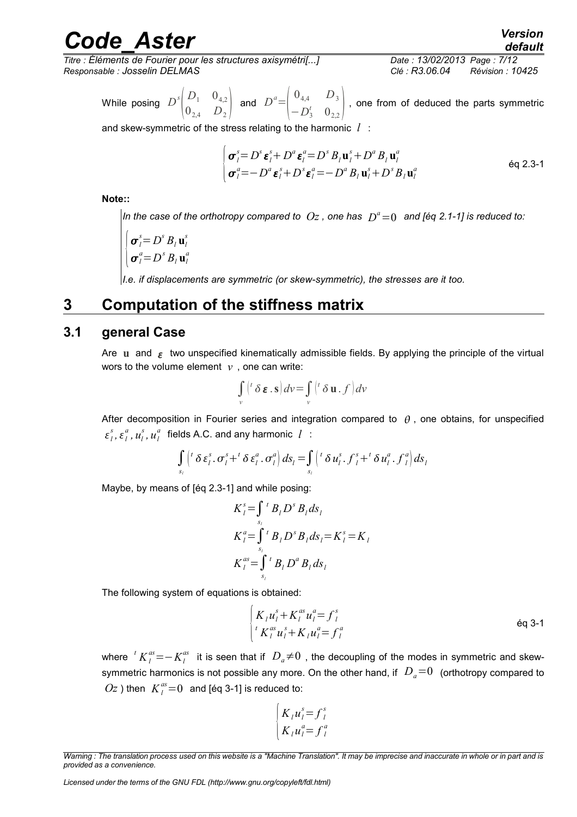*Titre : Éléments de Fourier pour les structures axisymétri[...] Date : 13/02/2013 Page : 7/12 Responsable : Josselin DELMAS Clé : R3.06.04 Révision : 10425*

While posing *D s*  $|0\rangle$  $D_1$  0<sub>4,2</sub>  $\begin{bmatrix} D_1 & 0_{4,2} \\ 0_{2,4} & D_2 \end{bmatrix}$  and  $D^a = \begin{bmatrix} 0_{4,4} & D_3 \\ -D_3^t & 0_{2,2} \end{bmatrix}$  $\begin{pmatrix} 4,4 \\ -D_3' & 0_{2,2} \end{pmatrix}$ , one from of deduced the parts symmetric

and skew-symmetric of the stress relating to the harmonic *l* :

$$
\begin{cases}\n\boldsymbol{\sigma}_{l}^{s} = D^{s} \boldsymbol{\varepsilon}_{l}^{s} + D^{a} \boldsymbol{\varepsilon}_{l}^{a} = D^{s} B_{l} \mathbf{u}_{l}^{s} + D^{a} B_{l} \mathbf{u}_{l}^{a} \\
\boldsymbol{\sigma}_{l}^{a} = -D^{a} \boldsymbol{\varepsilon}_{l}^{s} + D^{s} \boldsymbol{\varepsilon}_{l}^{a} = -D^{a} B_{l} \mathbf{u}_{l}^{s} + D^{s} B_{l} \mathbf{u}_{l}^{a}\n\end{cases}
$$
 eq 2.3-1

**Note::**

*In the case of the orthotropy compared to*  $Oz$  *, one has*  $|D^a=0\rangle$  *and [éq 2.1-1] is reduced to:* 

$$
\begin{cases}\n\boldsymbol{\sigma}_l^s = D^s \, B_l \, \mathbf{u}_l^s \\
\boldsymbol{\sigma}_l^a = D^s \, B_l \, \mathbf{u}_l^a\n\end{cases}
$$

<span id="page-6-1"></span>*I.e. if displacements are symmetric (or skew-symmetric), the stresses are it too.*

#### **3 Computation of the stiffness matrix**

#### **3.1 general Case**

<span id="page-6-0"></span>Are **u** and  $\epsilon$  two unspecified kinematically admissible fields. By applying the principle of the virtual wors to the volume element  $v$ , one can write:

$$
\int_{v} \left( \int_{0}^{t} \delta \mathbf{\varepsilon} \cdot \mathbf{s} \right) dv = \int_{v} \left( \int_{0}^{t} \delta \mathbf{u} \cdot f \right) dv
$$

After decomposition in Fourier series and integration compared to  $\theta$ , one obtains, for unspecified  $\epsilon_l^s$ ,  $\epsilon_l^a$ ,  $u_l^s$ ,  $u_l^a$  fields A.C. and any harmonic *l* :

$$
\int_{s_i} \left( \int \delta \, \varepsilon_i^s \cdot \sigma_l^s + \int \delta \, \varepsilon_i^a \cdot \sigma_l^a \right) \, ds_l = \int_{s_i} \left( \int \delta \, u_l^s \cdot \int \delta \, u_l^s \cdot \int \delta \, u_l^a \cdot \int \delta \, u_l^a \, du_l^b \right) \, ds_l
$$

Maybe, by means of [éq 2.3-1] and while posing:

$$
K_{l}^{s} = \int_{s_{l}}^{t} B_{l} D^{s} B_{l} ds_{l}
$$
  
\n
$$
K_{l}^{a} = \int_{s_{l}}^{t} B_{l} D^{s} B_{l} ds_{l} = K_{l}^{s} = K_{l}
$$
  
\n
$$
K_{l}^{as} = \int_{s_{l}}^{t} B_{l} D^{a} B_{l} ds_{l}
$$

*l*

The following system of equations is obtained:

$$
\begin{cases}\nK_{1}u_{1}^{s} + K_{1}^{as}u_{1}^{a} = f_{1}^{s} \\
K_{1}^{as}u_{1}^{s} + K_{1}u_{1}^{a} = f_{1}^{a}\n\end{cases}
$$
 eq 3-1

where  $\left\langle {}^{t}K_{l}^{as}\!=\!-K_{l}^{as}\right\rangle$  it is seen that if  $\left\langle D_{a}\!\ne\!0\right\rangle$  , the decoupling of the modes in symmetric and skewsymmetric harmonics is not possible any more. On the other hand, if  $D_a=0$  (orthotropy compared to  $Oz$ ) then  $K_l^{as}=0$  and [éq 3-1] is reduced to:

$$
\begin{cases}\nK_l u_l^s = f_l^s \\
K_l u_l^a = f_l^a\n\end{cases}
$$

*Warning : The translation process used on this website is a "Machine Translation". It may be imprecise and inaccurate in whole or in part and is provided as a convenience.*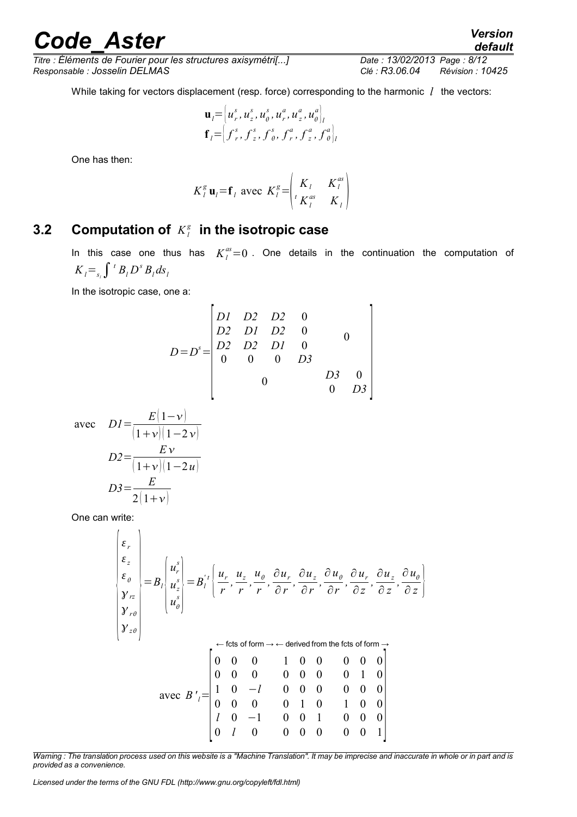*Titre : Éléments de Fourier pour les structures axisymétri[...] Date : 13/02/2013 Page : 8/12 Responsable : Josselin DELMAS Clé : R3.06.04 Révision : 10425*

While taking for vectors displacement (resp. force) corresponding to the harmonic *l* the vectors:

$$
\mathbf{u}_l = \left[ u_r^s, u_z^s, u_\theta^s, u_r^a, u_z^a, u_\theta^a \right]_l^{\mathbf{r}}
$$
  

$$
\mathbf{f}_l = \left[ f_r^s, f_z^s, f_\theta^s, f_r^a, f_z^a, f_\theta^a \right]_l^{\mathbf{r}}
$$

One has then:

$$
K_l^g
$$
**u**<sub>l</sub>=**f**<sub>l</sub> avec  $K_l^g$ = $\begin{pmatrix} K_l & K_l^{as} \\ {}^t K_l^{as} & K_l \end{pmatrix}$ 

#### **3.2 Computation of** *K<sup>l</sup> g*  **in the isotropic case**

<span id="page-7-0"></span>In this case one thus has  $K_l^{as}=0$  . One details in the continuation the computation of  $K_i = \int f_i B_i D^s B_i ds_i$ 

In the isotropic case, one a:

$$
D=Ds = \begin{bmatrix} D1 & D2 & D2 & 0 \\ D2 & D1 & D2 & 0 \\ D2 & D2 & D1 & 0 \\ 0 & 0 & 0 & D3 \\ 0 & 0 & 0 & 0 \end{bmatrix}
$$

avec *D1*=

$$
D2 = \frac{EV}{(1 + V)(1 - 2V)}
$$
  

$$
D2 = \frac{EV}{(1 + V)(1 - 2U)}
$$
  

$$
D3 = \frac{E}{2(1 + V)}
$$

 $E(1-\nu)$ 

One can write:

 $\mathbf{r}$ 

$$
\begin{pmatrix}\n\varepsilon_r \\
\varepsilon_{\theta} \\
\hline\ny_{rz} \\
y_{rz} \\
y_{r\theta} \\
x_{\theta}\n\end{pmatrix} = B_l \begin{pmatrix}\nu_r^s \\
u_z^s \\
u_{\theta}^s\n\end{pmatrix} = B_l' \left\{ \frac{u_r}{r}, \frac{u_z}{r}, \frac{u_{\theta}}{r}, \frac{\partial u_r}{\partial r}, \frac{\partial u_z}{\partial r}, \frac{\partial u_{\theta}}{\partial r}, \frac{\partial u_r}{\partial z}, \frac{\partial u_z}{\partial z}, \frac{\partial u_{\theta}}{\partial z}\right\}
$$
\n
$$
\begin{pmatrix}\n\mathbf{r} \cdot \mathbf{r} \cdot \mathbf{r} \\
\mathbf{r} \cdot \mathbf{r} \cdot \mathbf{r} \cdot \mathbf{r}\n\end{pmatrix} \leftarrow \text{ftets of form} \rightarrow \leftarrow \text{derived from the fets of form} \rightarrow \text{arc.} \quad B_l' = \begin{bmatrix}\n0 & 0 & 0 & 1 & 0 & 0 & 0 & 0 \\
0 & 0 & 0 & 1 & 0 & 0 & 0 & 0 \\
1 & 0 & -l & 0 & 0 & 0 & 0 & 0 & 0 \\
0 & 0 & 0 & 0 & 1 & 0 & 1 & 0 & 0 \\
0 & 0 & 0 & 0 & 1 & 0 & 1 & 0 & 0 \\
0 & l & 0 & 0 & 0 & 0 & 0 & 0 & 0 & 1\n\end{bmatrix}
$$

*Warning : The translation process used on this website is a "Machine Translation". It may be imprecise and inaccurate in whole or in part and is provided as a convenience.*

*Licensed under the terms of the GNU FDL (http://www.gnu.org/copyleft/fdl.html)*

*default*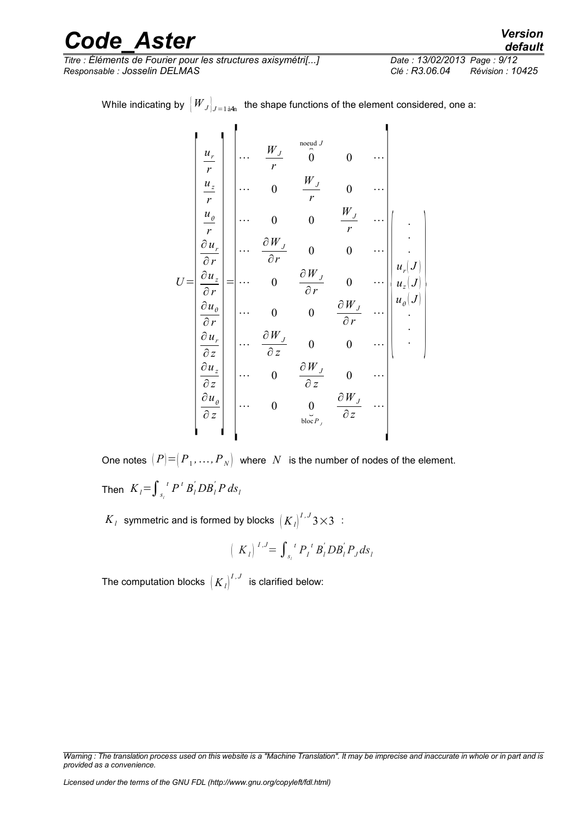*Titre : Éléments de Fourier pour les structures axisymétri[...] Date : 13/02/2013 Page : 9/12 Responsable : Josselin DELMAS Clé : R3.06.04 Révision : 10425*

While indicating by  $\left\vert{}W_{J}\right\rvert_{J=1\,\text{a}4\text{n}}$  the shape functions of the element considered, one a:

$$
U = \begin{bmatrix} \frac{u_r}{r} \\ \frac{u_z}{r} \\ \frac{u_{\theta}}{r} \\ \frac{\partial u_r}{\partial r} \\ \frac{\partial u_z}{\partial r} \\ \frac{\partial u_r}{\partial z} \\ \frac{\partial u_z}{\partial z} \\ \frac{\partial u_z}{\partial z} \\ \frac{\partial u_z}{\partial z} \\ \frac{\partial u_z}{\partial z} \\ \frac{\partial u_z}{\partial z} \\ \frac{\partial u_z}{\partial z} \\ \frac{\partial u_z}{\partial z} \\ \frac{\partial u_z}{\partial z} \\ \frac{\partial u_z}{\partial z} \\ \frac{\partial u_z}{\partial z} \\ \frac{\partial u_z}{\partial z} \\ \frac{\partial u_z}{\partial z} \\ \frac{\partial u_z}{\partial z} \\ \frac{\partial u_z}{\partial z} \\ \frac{\partial u_z}{\partial z} \\ \frac{\partial u_z}{\partial z} \\ \frac{\partial u_z}{\partial z} \\ \frac{\partial u_z}{\partial z} \\ \frac{\partial u_z}{\partial z} \\ \frac{\partial u_z}{\partial z} \\ \frac{\partial u_z}{\partial z} \\ \frac{\partial u_z}{\partial z} \\ \frac{\partial u_z}{\partial z} \\ \frac{\partial u_z}{\partial z} \\ \frac{\partial u_z}{\partial z} \\ \frac{\partial u_z}{\partial z} \\ \frac{\partial u_z}{\partial z} \\ \frac{\partial u_z}{\partial z} \\ \frac{\partial u_z}{\partial z} \\ \frac{\partial u_z}{\partial z} \\ \frac{\partial u_z}{\partial z} \\ \frac{\partial u_z}{\partial z} \\ \frac{\partial u_z}{\partial z} \\ \frac{\partial u_z}{\partial z} \\ \frac{\partial u_z}{\partial z} \\ \frac{\partial u_z}{\partial z} \\ \frac{\partial u_z}{\partial z} \\ \frac{\partial u_z}{\partial z} \\ \frac{\partial u_z}{\partial z} \\ \frac{\partial u_z}{\partial z} \\ \frac{\partial u_z}{\partial z} \\ \frac{\partial u_z}{\partial z} \\ \frac{\partial u_z}{\partial z} \\ \frac{\partial u_z}{\partial z} \\ \frac{\partial u_z}{\partial z} \\ \frac{\partial u_z}{\partial z} \\ \frac{\partial u_z}{\partial z} \\ \frac{\partial u_z}{\partial z} \\ \frac{\partial u_z}{\partial z} \\ \frac{\partial u_z}{\partial z} \\ \frac{\partial u_z}{\partial z} \\ \frac{\partial u_z}{\partial z} \\ \frac{\partial u_z}{\partial z} \\ \frac{\partial u_z}{\partial z} \\ \frac{\partial u_z}{\partial z} \\ \frac{\partial u_z}{\partial z} \\ \frac{\partial u_z}{\partial z} \\ \
$$

One notes  $\left( P \right) {=} \left( {P_1 ,\dots ,P_{\left. N \right)}} \right)$  where  $\left. N \right.$  is the number of nodes of the element. Then  $K_{l}$ = $\int_{s_{l}}$  $\int$ <sup>*t*</sup>  $P$ <sup>*t*</sup>  $B$ <sup>*i*</sup>  $DB$ <sup>*i*</sup>  $P$  *ds*<sub>*l*</sub>

 $K_{\overline{l}}$  symmetric and is formed by blocks  $\left(K_{\overline{l}}\right)^{I,J}$ 3 $\times$ 3  $\,$  :

$$
(K_{l})^{I,J} = \int_{s_{l}}^{t} P_{l}^{t} B_{l}^{'} D B_{l}^{'} P_{J} ds_{l}
$$

The computation blocks  $\left(K_{l}\right)^{I,J}$  is clarified below:

*Warning : The translation process used on this website is a "Machine Translation". It may be imprecise and inaccurate in whole or in part and is provided as a convenience.*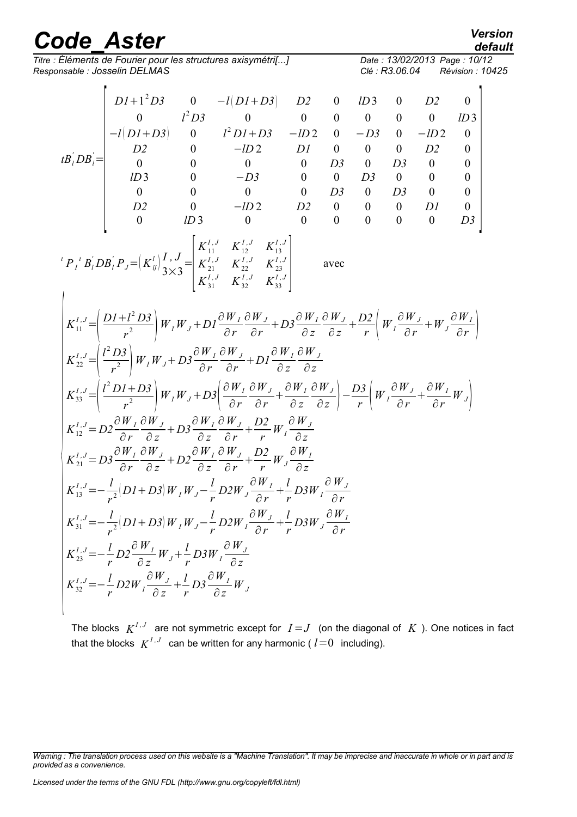*Titre : Éléments de Fourier pour les structures axisymétri[...] Date : 13/02/2013 Page : 10/12 Responsable : Josselin DELMAS Clé : R3.06.04 Révision : 10425*

$$
\frac{\text{default}}{12 \text{ } \text{Pose} : 10/12}
$$

 $\overline{\phantom{a}}$ 

$$
\begin{bmatrix}\nD I + I^2 D3 & 0 & -I[D I + D3] & D2 & 0 & ID3 & 0 & D2 & 0 \\
0 & I^2 D3 & 0 & 0 & 0 & 0 & 0 & 0 & ID3 \\
-I(D I + D3) & 0 & I^2 D I + D3 & -ID2 & 0 & -D3 & 0 & -ID2 & 0 \\
D2 & 0 & -ID2 & D1 & 0 & 0 & D2 & 0 \\
0 & 0 & 0 & 0 & D3 & 0 & D3 & 0 & 0 \\
0 & 0 & 0 & 0 & 0 & D3 & 0 & 0 & 0 \\
D2 & 0 & -ID2 & D2 & 0 & 0 & 0 & 0 & 0 \\
D2 & 0 & -ID2 & D2 & 0 & 0 & 0 & 0 & 0 \\
0 & ID3 & 0 & 0 & 0 & 0 & 0 & 0 & 0 \\
0 & ID3 & 0 & 0 & 0 & 0 & 0 & 0 & 0\n\end{bmatrix}
$$
\n
$$
\begin{bmatrix}\nP_I^T B_I^T D B_I^T P_J = [K_{ij}^T] \frac{I}{J} J_J = \begin{bmatrix}\nK_{11}^{I} & K_{12}^{I} & K_{13}^{I} \\
K_{21}^{I} & K_{22}^{I} & K_{23}^{I} \\
K_{31}^{I} & K_{32}^{I} & K_{33}^{I}\n\end{bmatrix} \text{ avec } \\
K_{11}^{I} = \begin{bmatrix}\nD I + I^2 D3 \\
P_I^T B_I^T D B_I^T P_J = [K_{ij}^T] \frac{I}{J} J_J = \begin{bmatrix}\nK_{11}^{I} & K_{12}^{I} & K_{13}^{I} \\
K_{22}^{I} & K_{22}^{I} & K_{23}^{I} \\
K_{31}^{I} & K_{32}^{I} & K_{33}^{I}\n\end{bmatrix} \text{ avec } \\
K_{22}^{I} = \begin{bmatrix}\n\frac{1}{I} + I^2 D3 \\
\frac{1}{I} + I^2 D3 \\
\frac{1}{I} + I^2 D3\n\end{bmatrix} W_I W_J + D1 \frac{\partial W_I}{\partial r} \frac{\partial W_J}{\partial r} + D3 \frac{\partial W_J}{\partial z} \frac{\partial W_J}{\partial z} + \frac{D2}{r} \left[W_J \frac{\partial W_J}{\partial r} + W_J
$$

The blocks  $K^{I,J}$  are not symmetric except for  $I=J$  (on the diagonal of  $K$  ). One notices in fact that the blocks  $K^{I,J}$  can be written for any harmonic (  $l$  = 0  $\,$  including).

*Warning : The translation process used on this website is a "Machine Translation". It may be imprecise and inaccurate in whole or in part and is provided as a convenience.*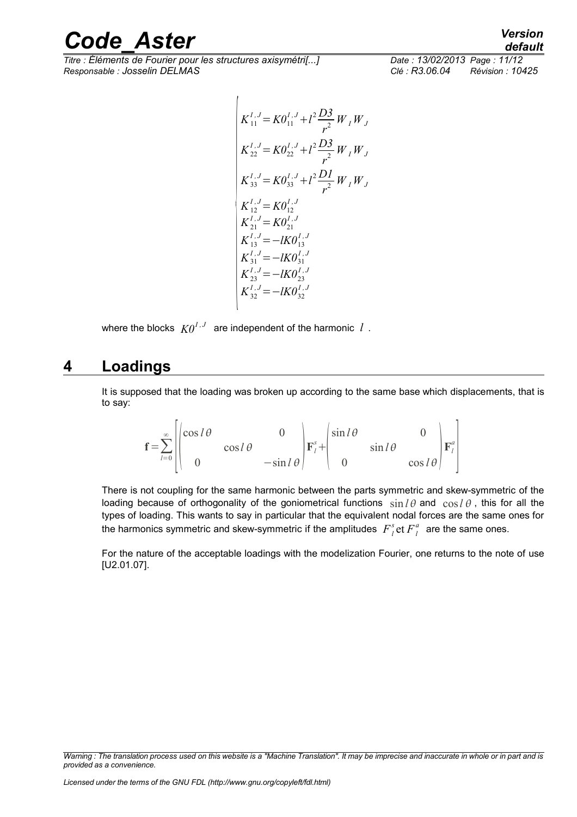*Titre : Éléments de Fourier pour les structures axisymétri[...] Date : 13/02/2013 Page : 11/12 Responsable : Josselin DELMAS Clé : R3.06.04 Révision : 10425*

*default*

$$
\begin{cases}\nK_{11}^{I,J} = KO_{11}^{I,J} + l^2 \frac{D3}{r^2} W_I W_J \\
K_{22}^{I,J} = KO_{22}^{I,J} + l^2 \frac{D3}{r^2} W_I W_J \\
K_{33}^{I,J} = KO_{33}^{I,J} + l^2 \frac{D1}{r^2} W_I W_J \\
K_{12}^{I,J} = KO_{12}^{I,J} \\
K_{21}^{I,J} = KO_{21}^{I,J} \\
K_{13}^{I,J} = -IKO_{31}^{I,J} \\
K_{23}^{I,J} = -IKO_{31}^{I,J} \\
K_{23}^{I,J} = -IKO_{23}^{I,J} \\
K_{32}^{I,J} = -IKO_{32}^{I,J}\n\end{cases}
$$

where the blocks  $\ K0^{I,J}$  are independent of the harmonic  $\ l$  .

### **4 Loadings**

<span id="page-10-0"></span>It is supposed that the loading was broken up according to the same base which displacements, that is to say:

$$
\mathbf{f} = \sum_{l=0}^{\infty} \begin{bmatrix} \cos l\theta & 0 & 0 \\ 0 & \cos l\theta & -\sin l\theta \end{bmatrix} \mathbf{F}_{l}^{s} + \begin{bmatrix} \sin l\theta & 0 & 0 \\ 0 & \sin l\theta & \cos l\theta \end{bmatrix} \mathbf{F}_{l}^{a}
$$

There is not coupling for the same harmonic between the parts symmetric and skew-symmetric of the loading because of orthogonality of the goniometrical functions  $\sin l\theta$  and  $\cos l\theta$ , this for all the types of loading. This wants to say in particular that the equivalent nodal forces are the same ones for the harmonics symmetric and skew-symmetric if the amplitudes  $\overline{F}_l^s$  et  $\overline{F}_l^a$  are the same ones.

For the nature of the acceptable loadings with the modelization Fourier, one returns to the note of use [U2.01.07].

*Warning : The translation process used on this website is a "Machine Translation". It may be imprecise and inaccurate in whole or in part and is provided as a convenience.*